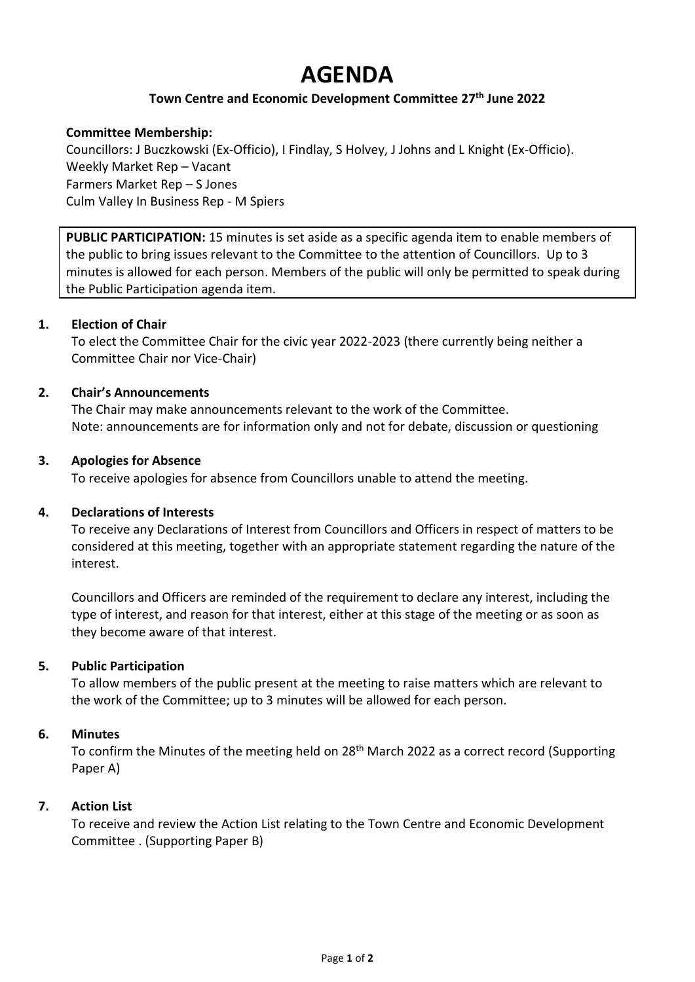# **AGENDA**

## **Town Centre and Economic Development Committee 27 th June 2022**

## **Committee Membership:**

Councillors: J Buczkowski (Ex-Officio), I Findlay, S Holvey, J Johns and L Knight (Ex-Officio). Weekly Market Rep – Vacant Farmers Market Rep – S Jones Culm Valley In Business Rep - M Spiers

**PUBLIC PARTICIPATION:** 15 minutes is set aside as a specific agenda item to enable members of the public to bring issues relevant to the Committee to the attention of Councillors. Up to 3 minutes is allowed for each person. Members of the public will only be permitted to speak during the Public Participation agenda item.

## **1. Election of Chair**

To elect the Committee Chair for the civic year 2022-2023 (there currently being neither a Committee Chair nor Vice-Chair)

## **2. Chair's Announcements**

The Chair may make announcements relevant to the work of the Committee. Note: announcements are for information only and not for debate, discussion or questioning

## **3. Apologies for Absence**

To receive apologies for absence from Councillors unable to attend the meeting.

## **4. Declarations of Interests**

To receive any Declarations of Interest from Councillors and Officers in respect of matters to be considered at this meeting, together with an appropriate statement regarding the nature of the interest.

Councillors and Officers are reminded of the requirement to declare any interest, including the type of interest, and reason for that interest, either at this stage of the meeting or as soon as they become aware of that interest.

## **5. Public Participation**

To allow members of the public present at the meeting to raise matters which are relevant to the work of the Committee; up to 3 minutes will be allowed for each person.

## **6. Minutes**

To confirm the Minutes of the meeting held on 28<sup>th</sup> March 2022 as a correct record (Supporting Paper A)

## **7. Action List**

To receive and review the Action List relating to the Town Centre and Economic Development Committee . (Supporting Paper B)